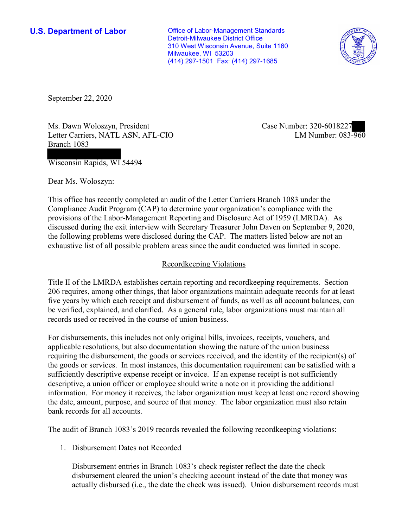**U.S. Department of Labor Conservative Conservative Conservative U.S. Department of Labor** Detroit-Milwaukee District Office 310 West Wisconsin Avenue, Suite 1160 Milwaukee, WI 53203 (414) 297-1501 Fax: (414) 297-1685



September 22, 2020

Ms. Dawn Woloszyn, President Letter Carriers, NATL ASN, AFL-CIO Branch 1083

Case Number: 320-6018227<br>LM Number: 083-960

Wisconsin Rapids, WI 54494

Dear Ms. Woloszyn:

 This office has recently completed an audit of the Letter Carriers Branch 1083 under the Compliance Audit Program (CAP) to determine your organization's compliance with the provisions of the Labor-Management Reporting and Disclosure Act of 1959 (LMRDA). As discussed during the exit interview with Secretary Treasurer John Daven on September 9, 2020, the following problems were disclosed during the CAP. The matters listed below are not an exhaustive list of all possible problem areas since the audit conducted was limited in scope.

## Recordkeeping Violations

 Title II of the LMRDA establishes certain reporting and recordkeeping requirements. Section 206 requires, among other things, that labor organizations maintain adequate records for at least five years by which each receipt and disbursement of funds, as well as all account balances, can be verified, explained, and clarified. As a general rule, labor organizations must maintain all records used or received in the course of union business.

For disbursements, this includes not only original bills, invoices, receipts, vouchers, and applicable resolutions, but also documentation showing the nature of the union business requiring the disbursement, the goods or services received, and the identity of the recipient(s) of the goods or services. In most instances, this documentation requirement can be satisfied with a sufficiently descriptive expense receipt or invoice. If an expense receipt is not sufficiently descriptive, a union officer or employee should write a note on it providing the additional information. For money it receives, the labor organization must keep at least one record showing the date, amount, purpose, and source of that money. The labor organization must also retain bank records for all accounts.

The audit of Branch 1083's 2019 records revealed the following recordkeeping violations:

1. Disbursement Dates not Recorded

Disbursement entries in Branch 1083's check register reflect the date the check disbursement cleared the union's checking account instead of the date that money was actually disbursed (i.e., the date the check was issued). Union disbursement records must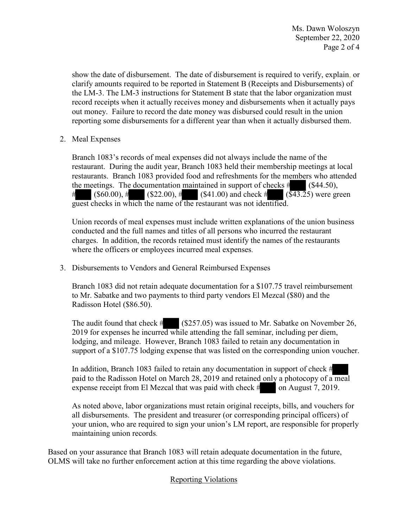show the date of disbursement. The date of disbursement is required to verify, explain, or clarify amounts required to be reported in Statement B (Receipts and Disbursements) of the LM-3. The LM-3 instructions for Statement B state that the labor organization must record receipts when it actually receives money and disbursements when it actually pays out money. Failure to record the date money was disbursed could result in the union reporting some disbursements for a different year than when it actually disbursed them.

2. Meal Expenses

estaurant. During the audit year, Branch 1083 held their membership me<br>estaurants. Branch 1083 provided food and refreshments for the membe<br>he meetings. The documentation maintained in support of checks #<br>(\$60.00), # (\$22 Branch 1083's records of meal expenses did not always include the name of the restaurant. During the audit year, Branch 1083 held their membership meetings at local restaurants. Branch 1083 provided food and refreshments for the members who attended # the meetings. The documentation maintained in support of checks  $#$  (\$44.50),  $($60.00), #$  (\$22.00), # (\$41.00) and check #  $(\overline{$43.2}5)$  were green guest checks in which the name of the restaurant was not identified.<br>Union records of meal expenses must include written explanations of the union business

 charges. In addition, the records retained must identify the names of the restaurants conducted and the full names and titles of all persons who incurred the restaurant where the officers or employees incurred meal expenses.

3. Disbursements to Vendors and General Reimbursed Expenses

Radisson Hotel (\$86.50). Branch 1083 did not retain adequate documentation for a \$107.75 travel reimbursement to Mr. Sabatke and two payments to third party vendors El Mezcal (\$80) and the

Radisson Hotel (\$86.50).<br>
The audit found that check # (\$257.05) was issued to Mr. Sabatke on November 26,<br>
2019 for expenses he incurred while attending the fall seminar, including per diem,<br>
lodging, and mileage. However 2019 for expenses he incurred while attending the fall seminar, including per diem, lodging, and mileage. However, Branch 1083 failed to retain any documentation in

paid to the Radisson Hotel on March 28, 2019 and retained only a photocopy of a meal support of a \$107.75 lodging expense that was listed on the corresponding union voucher.<br>In addition, Branch 1083 failed to retain any documentation in support of check #<br>paid to the Radisson Hotel on March 28, 2019 and re In addition, Branch 1083 failed to retain any documentation in support of check #<br>paid to the Radisson Hotel on March 28, 2019 and retained only a photocopy of a<br>expense receipt from El Mezcal that was paid with check #<br>As expense receipt from El Mezcal that was paid with check  $\#$  on August 7, 2019.

 all disbursements. The president and treasurer (or corresponding principal officers) of As noted above, labor organizations must retain original receipts, bills, and vouchers for your union, who are required to sign your union's LM report, are responsible for properly maintaining union records.

Based on your assurance that Branch 1083 will retain adequate documentation in the future, OLMS will take no further enforcement action at this time regarding the above violations.

## Reporting Violations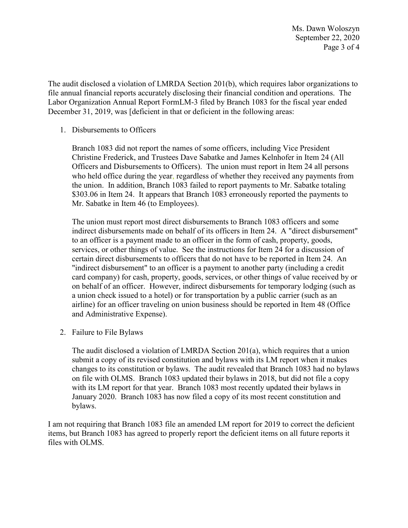Ms. Dawn Woloszyn September 22, 2020 Page 3 of 4

 Labor Organization Annual Report FormLM-3 filed by Branch 1083 for the fiscal year ended The audit disclosed a violation of LMRDA Section 201(b), which requires labor organizations to file annual financial reports accurately disclosing their financial condition and operations. The December 31, 2019, was [deficient in that or deficient in the following areas:

1. Disbursements to Officers

 \$303.06 in Item 24. It appears that Branch 1083 erroneously reported the payments to Branch 1083 did not report the names of some officers, including Vice President Christine Frederick, and Trustees Dave Sabatke and James Kelnhofer in Item 24 (All Officers and Disbursements to Officers). The union must report in Item 24 all persons who held office during the year, regardless of whether they received any payments from the union. In addition, Branch 1083 failed to report payments to Mr. Sabatke totaling Mr. Sabatke in Item 46 (to Employees).

 The union must report most direct disbursements to Branch 1083 officers and some services, or other things of value. See the instructions for Item 24 for a discussion of "indirect disbursement" to an officer is a payment to another party (including a credit a union check issued to a hotel) or for transportation by a public carrier (such as an indirect disbursements made on behalf of its officers in Item 24. A "direct disbursement" to an officer is a payment made to an officer in the form of cash, property, goods, certain direct disbursements to officers that do not have to be reported in Item 24. An card company) for cash, property, goods, services, or other things of value received by or on behalf of an officer. However, indirect disbursements for temporary lodging (such as airline) for an officer traveling on union business should be reported in Item 48 (Office and Administrative Expense).

2. Failure to File Bylaws

 with its LM report for that year. Branch 1083 most recently updated their bylaws in The audit disclosed a violation of LMRDA Section 201(a), which requires that a union submit a copy of its revised constitution and bylaws with its LM report when it makes changes to its constitution or bylaws. The audit revealed that Branch 1083 had no bylaws on file with OLMS. Branch 1083 updated their bylaws in 2018, but did not file a copy January 2020. Branch 1083 has now filed a copy of its most recent constitution and bylaws.

 I am not requiring that Branch 1083 file an amended LM report for 2019 to correct the deficient files with OLMS. items, but Branch 1083 has agreed to properly report the deficient items on all future reports it